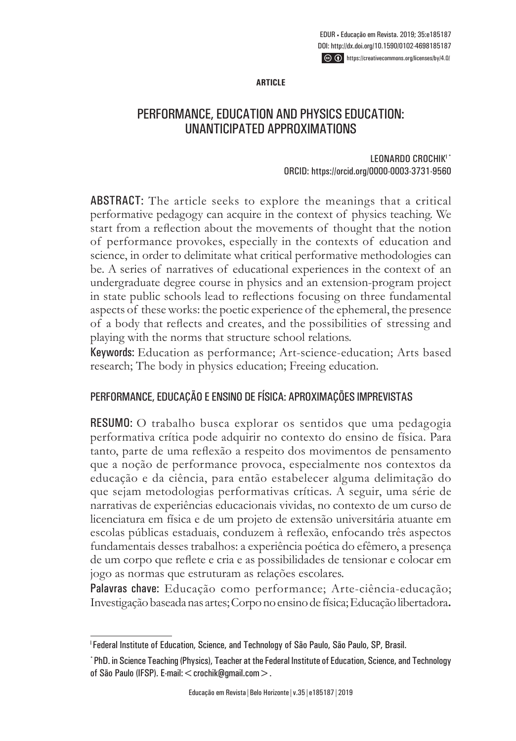**ARTICLE**

# PERFORMANCE, EDUCATION AND PHYSICS EDUCATION: UNANTICIPATED APPROXIMATIONS

LEONARDO CROCHIK<sup>I\*</sup> ORCID: https://orcid.org/0000-0003-3731-9560

ABSTRACT: The article seeks to explore the meanings that a critical performative pedagogy can acquire in the context of physics teaching. We start from a reflection about the movements of thought that the notion of performance provokes, especially in the contexts of education and science, in order to delimitate what critical performative methodologies can be. A series of narratives of educational experiences in the context of an undergraduate degree course in physics and an extension-program project in state public schools lead to reflections focusing on three fundamental aspects of these works: the poetic experience of the ephemeral, the presence of a body that reflects and creates, and the possibilities of stressing and playing with the norms that structure school relations.

Keywords: Education as performance; Art-science-education; Arts based research; The body in physics education; Freeing education.

### PERFORMANCE, EDUCAÇÃO E ENSINO DE FÍSICA: APROXIMAÇÕES IMPREVISTAS

RESUMO: O trabalho busca explorar os sentidos que uma pedagogia performativa crítica pode adquirir no contexto do ensino de física. Para tanto, parte de uma reflexão a respeito dos movimentos de pensamento que a noção de performance provoca, especialmente nos contextos da educação e da ciência, para então estabelecer alguma delimitação do que sejam metodologias performativas críticas. A seguir, uma série de narrativas de experiências educacionais vividas, no contexto de um curso de licenciatura em física e de um projeto de extensão universitária atuante em escolas públicas estaduais, conduzem à reflexão, enfocando três aspectos fundamentais desses trabalhos: a experiência poética do efêmero, a presença de um corpo que reflete e cria e as possibilidades de tensionar e colocar em jogo as normas que estruturam as relações escolares.

Palavras chave: Educação como performance; Arte-ciência-educação; Investigação baseada nas artes; Corpo no ensino de física; Educação libertadora**.**

<sup>&</sup>lt;sup>1</sup> Federal Institute of Education, Science, and Technology of São Paulo, São Paulo, SP, Brasil.

<sup>\*</sup> PhD. in Science Teaching (Physics), Teacher at the Federal Institute of Education, Science, and Technology of São Paulo (IFSP). E-mail: < crochik@gmail.com >.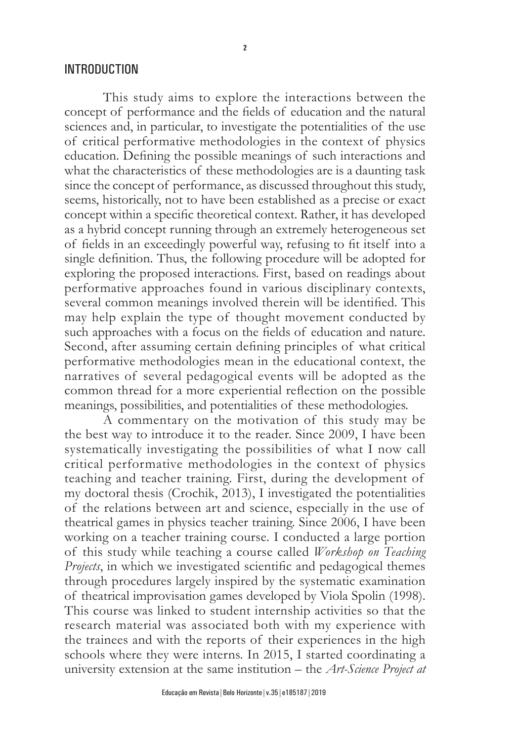#### INTRODUCTION

This study aims to explore the interactions between the concept of performance and the fields of education and the natural sciences and, in particular, to investigate the potentialities of the use of critical performative methodologies in the context of physics education. Defining the possible meanings of such interactions and what the characteristics of these methodologies are is a daunting task since the concept of performance, as discussed throughout this study, seems, historically, not to have been established as a precise or exact concept within a specific theoretical context. Rather, it has developed as a hybrid concept running through an extremely heterogeneous set of fields in an exceedingly powerful way, refusing to fit itself into a single definition. Thus, the following procedure will be adopted for exploring the proposed interactions. First, based on readings about performative approaches found in various disciplinary contexts, several common meanings involved therein will be identified. This may help explain the type of thought movement conducted by such approaches with a focus on the fields of education and nature. Second, after assuming certain defining principles of what critical performative methodologies mean in the educational context, the narratives of several pedagogical events will be adopted as the common thread for a more experiential reflection on the possible meanings, possibilities, and potentialities of these methodologies.

A commentary on the motivation of this study may be the best way to introduce it to the reader. Since 2009, I have been systematically investigating the possibilities of what I now call critical performative methodologies in the context of physics teaching and teacher training. First, during the development of my doctoral thesis (Crochik, 2013), I investigated the potentialities of the relations between art and science, especially in the use of theatrical games in physics teacher training. Since 2006, I have been working on a teacher training course. I conducted a large portion of this study while teaching a course called *Workshop on Teaching Projects*, in which we investigated scientific and pedagogical themes through procedures largely inspired by the systematic examination of theatrical improvisation games developed by Viola Spolin (1998). This course was linked to student internship activities so that the research material was associated both with my experience with the trainees and with the reports of their experiences in the high schools where they were interns. In 2015, I started coordinating a university extension at the same institution – the *Art-Science Project at*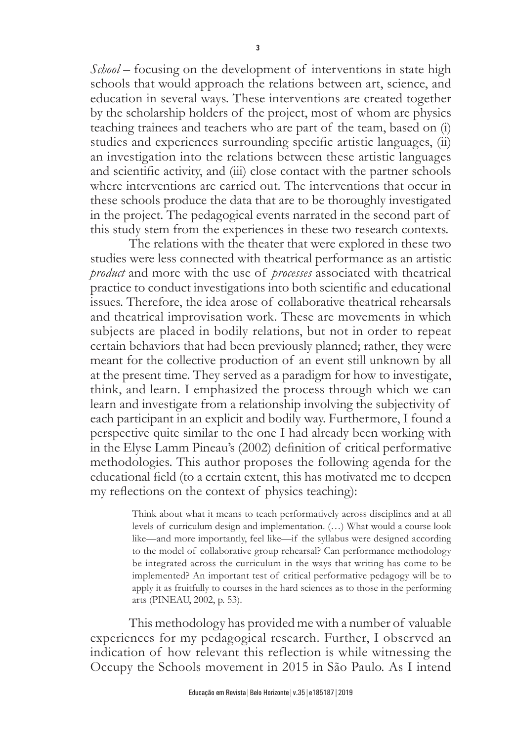*School* – focusing on the development of interventions in state high schools that would approach the relations between art, science, and education in several ways. These interventions are created together by the scholarship holders of the project, most of whom are physics teaching trainees and teachers who are part of the team, based on (i) studies and experiences surrounding specific artistic languages, (ii) an investigation into the relations between these artistic languages and scientific activity, and (iii) close contact with the partner schools where interventions are carried out. The interventions that occur in these schools produce the data that are to be thoroughly investigated in the project. The pedagogical events narrated in the second part of this study stem from the experiences in these two research contexts.

The relations with the theater that were explored in these two studies were less connected with theatrical performance as an artistic *product* and more with the use of *processes* associated with theatrical practice to conduct investigations into both scientific and educational issues. Therefore, the idea arose of collaborative theatrical rehearsals and theatrical improvisation work. These are movements in which subjects are placed in bodily relations, but not in order to repeat certain behaviors that had been previously planned; rather, they were meant for the collective production of an event still unknown by all at the present time. They served as a paradigm for how to investigate, think, and learn. I emphasized the process through which we can learn and investigate from a relationship involving the subjectivity of each participant in an explicit and bodily way. Furthermore, I found a perspective quite similar to the one I had already been working with in the Elyse Lamm Pineau's (2002) definition of critical performative methodologies. This author proposes the following agenda for the educational field (to a certain extent, this has motivated me to deepen my reflections on the context of physics teaching):

> Think about what it means to teach performatively across disciplines and at all levels of curriculum design and implementation. (…) What would a course look like—and more importantly, feel like—if the syllabus were designed according to the model of collaborative group rehearsal? Can performance methodology be integrated across the curriculum in the ways that writing has come to be implemented? An important test of critical performative pedagogy will be to apply it as fruitfully to courses in the hard sciences as to those in the performing arts (PINEAU, 2002, p. 53).

This methodology has provided me with a number of valuable experiences for my pedagogical research. Further, I observed an indication of how relevant this reflection is while witnessing the Occupy the Schools movement in 2015 in São Paulo. As I intend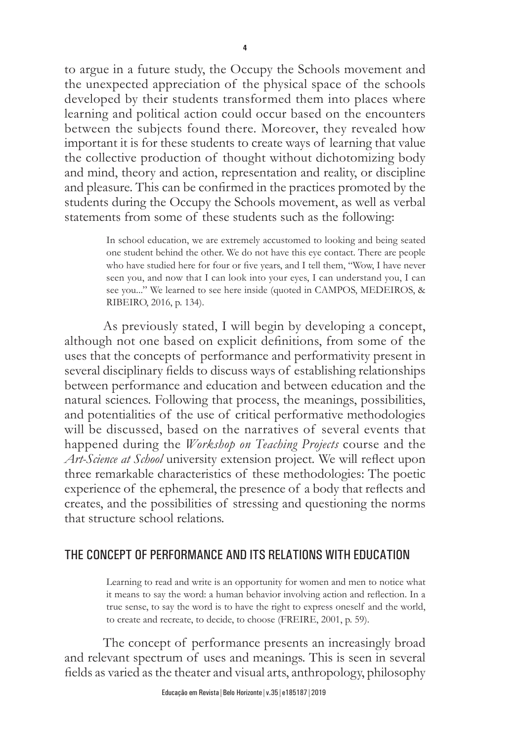to argue in a future study, the Occupy the Schools movement and the unexpected appreciation of the physical space of the schools developed by their students transformed them into places where learning and political action could occur based on the encounters between the subjects found there. Moreover, they revealed how important it is for these students to create ways of learning that value the collective production of thought without dichotomizing body and mind, theory and action, representation and reality, or discipline and pleasure. This can be confirmed in the practices promoted by the students during the Occupy the Schools movement, as well as verbal statements from some of these students such as the following:

> In school education, we are extremely accustomed to looking and being seated one student behind the other. We do not have this eye contact. There are people who have studied here for four or five years, and I tell them, "Wow, I have never seen you, and now that I can look into your eyes, I can understand you, I can see you..." We learned to see here inside (quoted in CAMPOS, MEDEIROS, & RIBEIRO, 2016, p. 134).

As previously stated, I will begin by developing a concept, although not one based on explicit definitions, from some of the uses that the concepts of performance and performativity present in several disciplinary fields to discuss ways of establishing relationships between performance and education and between education and the natural sciences. Following that process, the meanings, possibilities, and potentialities of the use of critical performative methodologies will be discussed, based on the narratives of several events that happened during the *Workshop on Teaching Projects* course and the *Art-Science at School* university extension project*.* We will reflect upon three remarkable characteristics of these methodologies: The poetic experience of the ephemeral, the presence of a body that reflects and creates, and the possibilities of stressing and questioning the norms that structure school relations.

# THE CONCEPT OF PERFORMANCE AND ITS RELATIONS WITH EDUCATION

Learning to read and write is an opportunity for women and men to notice what it means to say the word: a human behavior involving action and reflection. In a true sense, to say the word is to have the right to express oneself and the world, to create and recreate, to decide, to choose (FREIRE, 2001, p. 59).

The concept of performance presents an increasingly broad and relevant spectrum of uses and meanings. This is seen in several fields as varied as the theater and visual arts, anthropology, philosophy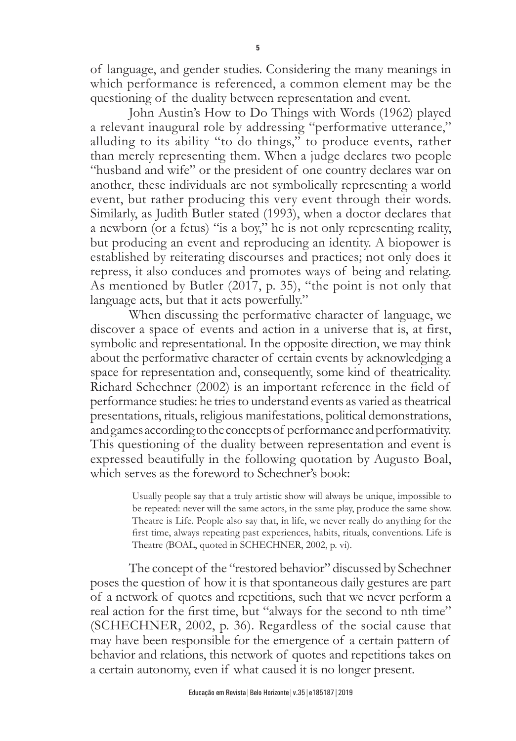of language, and gender studies. Considering the many meanings in which performance is referenced, a common element may be the questioning of the duality between representation and event.

John Austin's How to Do Things with Words (1962) played a relevant inaugural role by addressing "performative utterance," alluding to its ability "to do things," to produce events, rather than merely representing them. When a judge declares two people "husband and wife" or the president of one country declares war on another, these individuals are not symbolically representing a world event, but rather producing this very event through their words. Similarly, as Judith Butler stated (1993), when a doctor declares that a newborn (or a fetus) "is a boy," he is not only representing reality, but producing an event and reproducing an identity. A biopower is established by reiterating discourses and practices; not only does it repress, it also conduces and promotes ways of being and relating. As mentioned by Butler (2017, p. 35), "the point is not only that language acts, but that it acts powerfully."

When discussing the performative character of language, we discover a space of events and action in a universe that is, at first, symbolic and representational. In the opposite direction, we may think about the performative character of certain events by acknowledging a space for representation and, consequently, some kind of theatricality. Richard Schechner (2002) is an important reference in the field of performance studies: he tries to understand events as varied as theatrical presentations, rituals, religious manifestations, political demonstrations, and games according to the concepts of performance and performativity. This questioning of the duality between representation and event is expressed beautifully in the following quotation by Augusto Boal, which serves as the foreword to Schechner's book:

> Usually people say that a truly artistic show will always be unique, impossible to be repeated: never will the same actors, in the same play, produce the same show. Theatre is Life. People also say that, in life, we never really do anything for the first time, always repeating past experiences, habits, rituals, conventions. Life is Theatre (BOAL, quoted in SCHECHNER, 2002, p. vi).

The concept of the "restored behavior" discussed by Schechner poses the question of how it is that spontaneous daily gestures are part of a network of quotes and repetitions, such that we never perform a real action for the first time, but "always for the second to nth time" (SCHECHNER, 2002, p. 36). Regardless of the social cause that may have been responsible for the emergence of a certain pattern of behavior and relations, this network of quotes and repetitions takes on a certain autonomy, even if what caused it is no longer present.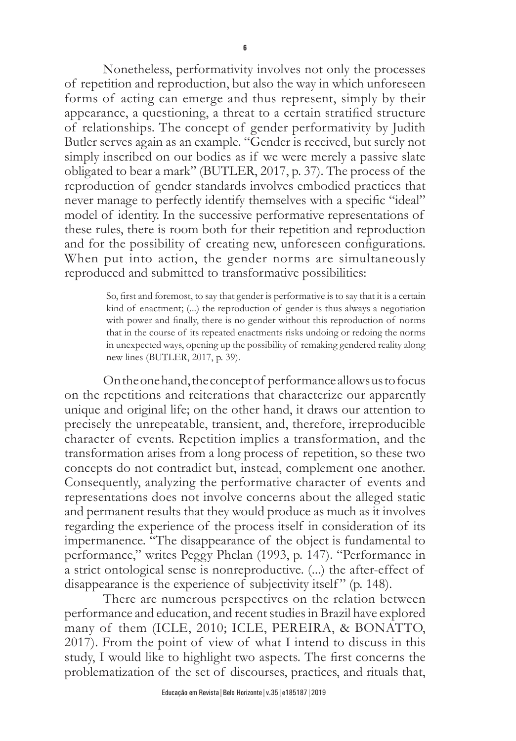Nonetheless, performativity involves not only the processes of repetition and reproduction, but also the way in which unforeseen forms of acting can emerge and thus represent, simply by their appearance, a questioning, a threat to a certain stratified structure of relationships. The concept of gender performativity by Judith Butler serves again as an example. "Gender is received, but surely not simply inscribed on our bodies as if we were merely a passive slate obligated to bear a mark" (BUTLER, 2017, p. 37). The process of the reproduction of gender standards involves embodied practices that never manage to perfectly identify themselves with a specific "ideal" model of identity. In the successive performative representations of these rules, there is room both for their repetition and reproduction and for the possibility of creating new, unforeseen configurations. When put into action, the gender norms are simultaneously reproduced and submitted to transformative possibilities:

> So, first and foremost, to say that gender is performative is to say that it is a certain kind of enactment; (...) the reproduction of gender is thus always a negotiation with power and finally, there is no gender without this reproduction of norms that in the course of its repeated enactments risks undoing or redoing the norms in unexpected ways, opening up the possibility of remaking gendered reality along new lines (BUTLER, 2017, p. 39).

On the one hand, the concept of performance allows us to focus on the repetitions and reiterations that characterize our apparently unique and original life; on the other hand, it draws our attention to precisely the unrepeatable, transient, and, therefore, irreproducible character of events. Repetition implies a transformation, and the transformation arises from a long process of repetition, so these two concepts do not contradict but, instead, complement one another. Consequently, analyzing the performative character of events and representations does not involve concerns about the alleged static and permanent results that they would produce as much as it involves regarding the experience of the process itself in consideration of its impermanence. "The disappearance of the object is fundamental to performance," writes Peggy Phelan (1993, p. 147). "Performance in a strict ontological sense is nonreproductive. (...) the after-effect of disappearance is the experience of subjectivity itself" (p. 148).

There are numerous perspectives on the relation between performance and education, and recent studies in Brazil have explored many of them (ICLE, 2010; ICLE, PEREIRA, & BONATTO, 2017). From the point of view of what I intend to discuss in this study, I would like to highlight two aspects. The first concerns the problematization of the set of discourses, practices, and rituals that,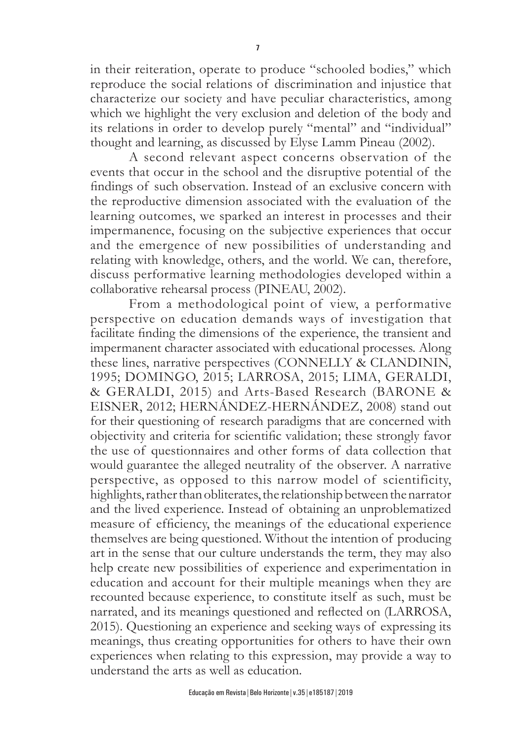in their reiteration, operate to produce "schooled bodies," which reproduce the social relations of discrimination and injustice that characterize our society and have peculiar characteristics, among which we highlight the very exclusion and deletion of the body and its relations in order to develop purely "mental" and "individual" thought and learning, as discussed by Elyse Lamm Pineau (2002).

A second relevant aspect concerns observation of the events that occur in the school and the disruptive potential of the findings of such observation. Instead of an exclusive concern with the reproductive dimension associated with the evaluation of the learning outcomes, we sparked an interest in processes and their impermanence, focusing on the subjective experiences that occur and the emergence of new possibilities of understanding and relating with knowledge, others, and the world. We can, therefore, discuss performative learning methodologies developed within a collaborative rehearsal process (PINEAU, 2002).

From a methodological point of view, a performative perspective on education demands ways of investigation that facilitate finding the dimensions of the experience, the transient and impermanent character associated with educational processes. Along these lines, narrative perspectives (CONNELLY & CLANDININ, 1995; DOMINGO, 2015; LARROSA, 2015; LIMA, GERALDI, & GERALDI, 2015) and Arts-Based Research (BARONE & EISNER, 2012; HERNÁNDEZ-HERNÁNDEZ, 2008) stand out for their questioning of research paradigms that are concerned with objectivity and criteria for scientific validation; these strongly favor the use of questionnaires and other forms of data collection that would guarantee the alleged neutrality of the observer. A narrative perspective, as opposed to this narrow model of scientificity, highlights, rather than obliterates, the relationship between the narrator and the lived experience. Instead of obtaining an unproblematized measure of efficiency, the meanings of the educational experience themselves are being questioned. Without the intention of producing art in the sense that our culture understands the term, they may also help create new possibilities of experience and experimentation in education and account for their multiple meanings when they are recounted because experience, to constitute itself as such, must be narrated, and its meanings questioned and reflected on (LARROSA, 2015). Questioning an experience and seeking ways of expressing its meanings, thus creating opportunities for others to have their own experiences when relating to this expression, may provide a way to understand the arts as well as education.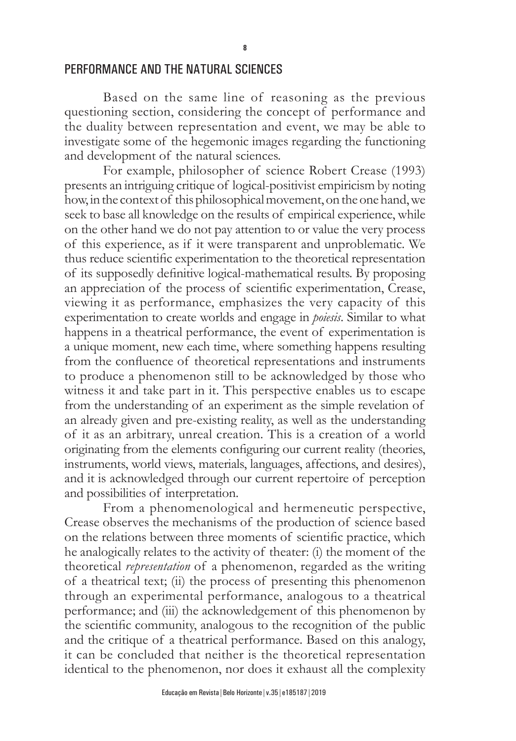#### PERFORMANCE AND THE NATURAL SCIENCES

Based on the same line of reasoning as the previous questioning section, considering the concept of performance and the duality between representation and event, we may be able to investigate some of the hegemonic images regarding the functioning and development of the natural sciences.

For example, philosopher of science Robert Crease (1993) presents an intriguing critique of logical-positivist empiricism by noting how, in the context of this philosophical movement, on the one hand, we seek to base all knowledge on the results of empirical experience, while on the other hand we do not pay attention to or value the very process of this experience, as if it were transparent and unproblematic. We thus reduce scientific experimentation to the theoretical representation of its supposedly definitive logical-mathematical results. By proposing an appreciation of the process of scientific experimentation, Crease, viewing it as performance, emphasizes the very capacity of this experimentation to create worlds and engage in *poiesis*. Similar to what happens in a theatrical performance, the event of experimentation is a unique moment, new each time, where something happens resulting from the confluence of theoretical representations and instruments to produce a phenomenon still to be acknowledged by those who witness it and take part in it. This perspective enables us to escape from the understanding of an experiment as the simple revelation of an already given and pre-existing reality, as well as the understanding of it as an arbitrary, unreal creation. This is a creation of a world originating from the elements configuring our current reality (theories, instruments, world views, materials, languages, affections, and desires), and it is acknowledged through our current repertoire of perception and possibilities of interpretation.

From a phenomenological and hermeneutic perspective, Crease observes the mechanisms of the production of science based on the relations between three moments of scientific practice, which he analogically relates to the activity of theater: (i) the moment of the theoretical *representation* of a phenomenon, regarded as the writing of a theatrical text; (ii) the process of presenting this phenomenon through an experimental performance, analogous to a theatrical performance; and (iii) the acknowledgement of this phenomenon by the scientific community, analogous to the recognition of the public and the critique of a theatrical performance. Based on this analogy, it can be concluded that neither is the theoretical representation identical to the phenomenon, nor does it exhaust all the complexity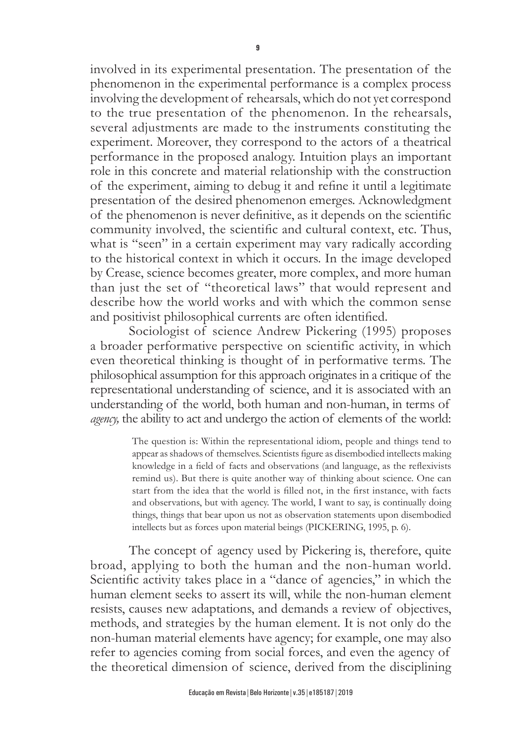involved in its experimental presentation. The presentation of the phenomenon in the experimental performance is a complex process involving the development of rehearsals, which do not yet correspond to the true presentation of the phenomenon. In the rehearsals, several adjustments are made to the instruments constituting the experiment. Moreover, they correspond to the actors of a theatrical performance in the proposed analogy. Intuition plays an important role in this concrete and material relationship with the construction of the experiment, aiming to debug it and refine it until a legitimate presentation of the desired phenomenon emerges. Acknowledgment of the phenomenon is never definitive, as it depends on the scientific community involved, the scientific and cultural context, etc. Thus, what is "seen" in a certain experiment may vary radically according to the historical context in which it occurs. In the image developed by Crease, science becomes greater, more complex, and more human than just the set of "theoretical laws" that would represent and describe how the world works and with which the common sense and positivist philosophical currents are often identified.

Sociologist of science Andrew Pickering (1995) proposes a broader performative perspective on scientific activity, in which even theoretical thinking is thought of in performative terms. The philosophical assumption for this approach originates in a critique of the representational understanding of science, and it is associated with an understanding of the world, both human and non-human, in terms of *agency*, the ability to act and undergo the action of elements of the world:

> The question is: Within the representational idiom, people and things tend to appear as shadows of themselves. Scientists figure as disembodied intellects making knowledge in a field of facts and observations (and language, as the reflexivists remind us). But there is quite another way of thinking about science. One can start from the idea that the world is filled not, in the first instance, with facts and observations, but with agency. The world, I want to say, is continually doing things, things that bear upon us not as observation statements upon disembodied intellects but as forces upon material beings (PICKERING, 1995, p. 6).

The concept of agency used by Pickering is, therefore, quite broad, applying to both the human and the non-human world. Scientific activity takes place in a "dance of agencies," in which the human element seeks to assert its will, while the non-human element resists, causes new adaptations, and demands a review of objectives, methods, and strategies by the human element. It is not only do the non-human material elements have agency; for example, one may also refer to agencies coming from social forces, and even the agency of the theoretical dimension of science, derived from the disciplining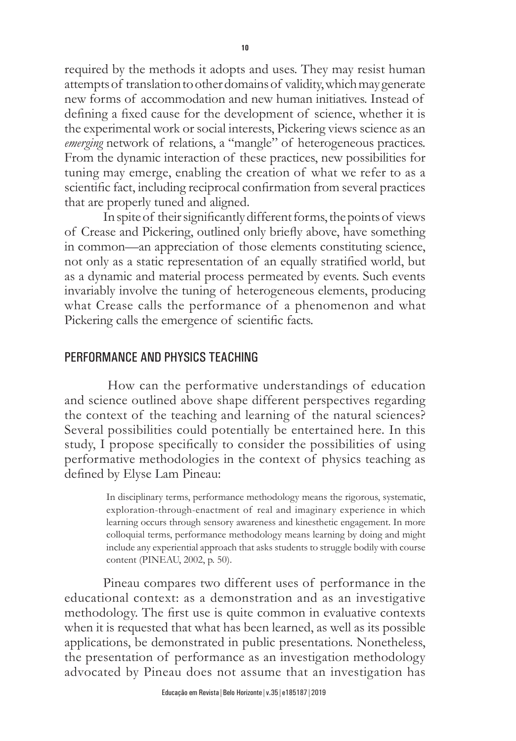required by the methods it adopts and uses. They may resist human attempts of translation to other domains of validity, which may generate new forms of accommodation and new human initiatives. Instead of defining a fixed cause for the development of science, whether it is the experimental work or social interests, Pickering views science as an *emerging* network of relations, a "mangle" of heterogeneous practices. From the dynamic interaction of these practices, new possibilities for tuning may emerge, enabling the creation of what we refer to as a scientific fact, including reciprocal confirmation from several practices that are properly tuned and aligned.

In spite of their significantly different forms, the points of views of Crease and Pickering, outlined only briefly above, have something in common—an appreciation of those elements constituting science, not only as a static representation of an equally stratified world, but as a dynamic and material process permeated by events. Such events invariably involve the tuning of heterogeneous elements, producing what Crease calls the performance of a phenomenon and what Pickering calls the emergence of scientific facts.

### PERFORMANCE AND PHYSICS TEACHING

 How can the performative understandings of education and science outlined above shape different perspectives regarding the context of the teaching and learning of the natural sciences? Several possibilities could potentially be entertained here. In this study, I propose specifically to consider the possibilities of using performative methodologies in the context of physics teaching as defined by Elyse Lam Pineau:

> In disciplinary terms, performance methodology means the rigorous, systematic, exploration-through-enactment of real and imaginary experience in which learning occurs through sensory awareness and kinesthetic engagement. In more colloquial terms, performance methodology means learning by doing and might include any experiential approach that asks students to struggle bodily with course content (PINEAU, 2002, p. 50).

Pineau compares two different uses of performance in the educational context: as a demonstration and as an investigative methodology. The first use is quite common in evaluative contexts when it is requested that what has been learned, as well as its possible applications, be demonstrated in public presentations. Nonetheless, the presentation of performance as an investigation methodology advocated by Pineau does not assume that an investigation has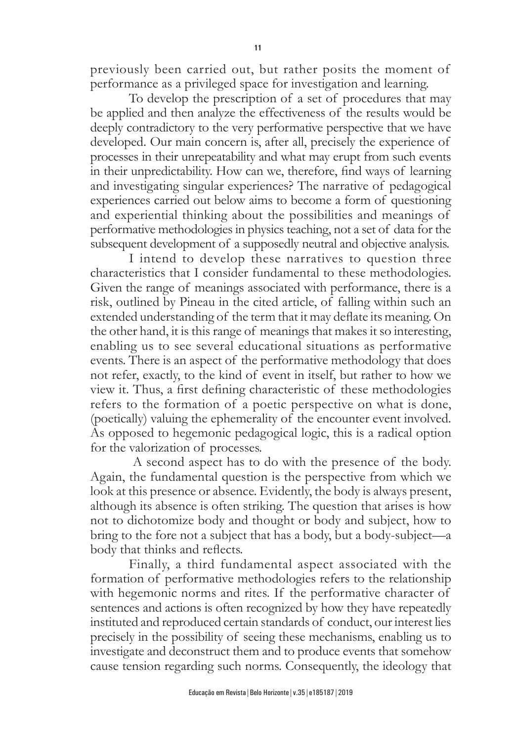previously been carried out, but rather posits the moment of performance as a privileged space for investigation and learning.

To develop the prescription of a set of procedures that may be applied and then analyze the effectiveness of the results would be deeply contradictory to the very performative perspective that we have developed. Our main concern is, after all, precisely the experience of processes in their unrepeatability and what may erupt from such events in their unpredictability. How can we, therefore, find ways of learning and investigating singular experiences? The narrative of pedagogical experiences carried out below aims to become a form of questioning and experiential thinking about the possibilities and meanings of performative methodologies in physics teaching, not a set of data for the subsequent development of a supposedly neutral and objective analysis.

I intend to develop these narratives to question three characteristics that I consider fundamental to these methodologies. Given the range of meanings associated with performance, there is a risk, outlined by Pineau in the cited article, of falling within such an extended understanding of the term that it may deflate its meaning. On the other hand, it is this range of meanings that makes it so interesting, enabling us to see several educational situations as performative events. There is an aspect of the performative methodology that does not refer, exactly, to the kind of event in itself, but rather to how we view it. Thus, a first defining characteristic of these methodologies refers to the formation of a poetic perspective on what is done, (poetically) valuing the ephemerality of the encounter event involved. As opposed to hegemonic pedagogical logic, this is a radical option for the valorization of processes.

 A second aspect has to do with the presence of the body. Again, the fundamental question is the perspective from which we look at this presence or absence. Evidently, the body is always present, although its absence is often striking. The question that arises is how not to dichotomize body and thought or body and subject, how to bring to the fore not a subject that has a body, but a body-subject—a body that thinks and reflects.

Finally, a third fundamental aspect associated with the formation of performative methodologies refers to the relationship with hegemonic norms and rites. If the performative character of sentences and actions is often recognized by how they have repeatedly instituted and reproduced certain standards of conduct, our interest lies precisely in the possibility of seeing these mechanisms, enabling us to investigate and deconstruct them and to produce events that somehow cause tension regarding such norms. Consequently, the ideology that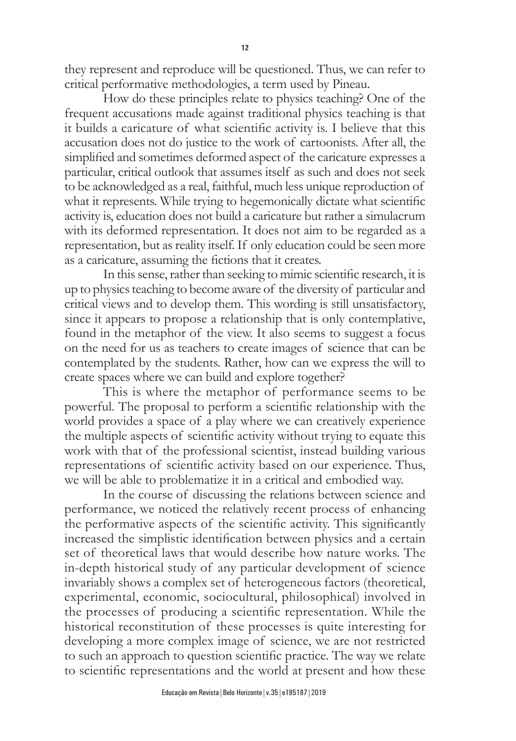they represent and reproduce will be questioned. Thus, we can refer to critical performative methodologies, a term used by Pineau.

How do these principles relate to physics teaching? One of the frequent accusations made against traditional physics teaching is that it builds a caricature of what scientific activity is. I believe that this accusation does not do justice to the work of cartoonists. After all, the simplified and sometimes deformed aspect of the caricature expresses a particular, critical outlook that assumes itself as such and does not seek to be acknowledged as a real, faithful, much less unique reproduction of what it represents. While trying to hegemonically dictate what scientific activity is, education does not build a caricature but rather a simulacrum with its deformed representation. It does not aim to be regarded as a representation, but as reality itself. If only education could be seen more as a caricature, assuming the fictions that it creates.

In this sense, rather than seeking to mimic scientific research, it is up to physics teaching to become aware of the diversity of particular and critical views and to develop them. This wording is still unsatisfactory, since it appears to propose a relationship that is only contemplative, found in the metaphor of the view. It also seems to suggest a focus on the need for us as teachers to create images of science that can be contemplated by the students. Rather, how can we express the will to create spaces where we can build and explore together?

This is where the metaphor of performance seems to be powerful. The proposal to perform a scientific relationship with the world provides a space of a play where we can creatively experience the multiple aspects of scientific activity without trying to equate this work with that of the professional scientist, instead building various representations of scientific activity based on our experience. Thus, we will be able to problematize it in a critical and embodied way.

In the course of discussing the relations between science and performance, we noticed the relatively recent process of enhancing the performative aspects of the scientific activity. This significantly increased the simplistic identification between physics and a certain set of theoretical laws that would describe how nature works. The in-depth historical study of any particular development of science invariably shows a complex set of heterogeneous factors (theoretical, experimental, economic, sociocultural, philosophical) involved in the processes of producing a scientific representation. While the historical reconstitution of these processes is quite interesting for developing a more complex image of science, we are not restricted to such an approach to question scientific practice. The way we relate to scientific representations and the world at present and how these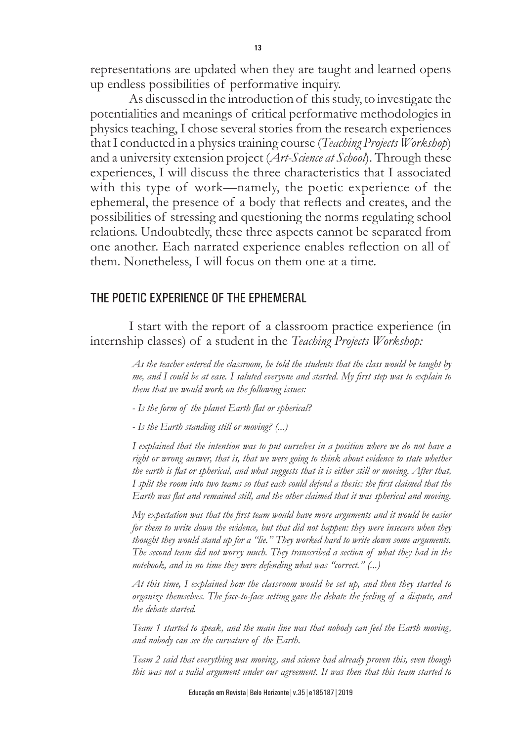representations are updated when they are taught and learned opens up endless possibilities of performative inquiry.

As discussed in the introduction of this study, to investigate the potentialities and meanings of critical performative methodologies in physics teaching, I chose several stories from the research experiences that I conducted in a physics training course (*Teaching Projects Workshop*) and a university extension project (*Art-Science at School*). Through these experiences, I will discuss the three characteristics that I associated with this type of work—namely, the poetic experience of the ephemeral, the presence of a body that reflects and creates, and the possibilities of stressing and questioning the norms regulating school relations. Undoubtedly, these three aspects cannot be separated from one another. Each narrated experience enables reflection on all of them. Nonetheless, I will focus on them one at a time.

### THE POETIC EXPERIENCE OF THE EPHEMERAL

I start with the report of a classroom practice experience (in internship classes) of a student in the *Teaching Projects Workshop:*

> *As the teacher entered the classroom, he told the students that the class would be taught by me, and I could be at ease. I saluted everyone and started. My first step was to explain to them that we would work on the following issues:*

*- Is the form of the planet Earth flat or spherical?*

*- Is the Earth standing still or moving? (...)*

*I explained that the intention was to put ourselves in a position where we do not have a right or wrong answer, that is, that we were going to think about evidence to state whether the earth is flat or spherical, and what suggests that it is either still or moving. After that, I split the room into two teams so that each could defend a thesis: the first claimed that the Earth was flat and remained still, and the other claimed that it was spherical and moving.*

*My expectation was that the first team would have more arguments and it would be easier for them to write down the evidence, but that did not happen: they were insecure when they thought they would stand up for a "lie." They worked hard to write down some arguments. The second team did not worry much. They transcribed a section of what they had in the notebook, and in no time they were defending what was "correct." (...)*

*At this time, I explained how the classroom would be set up, and then they started to organize themselves. The face-to-face setting gave the debate the feeling of a dispute, and the debate started.*

*Team 1 started to speak, and the main line was that nobody can feel the Earth moving, and nobody can see the curvature of the Earth.*

*Team 2 said that everything was moving, and science had already proven this, even though this was not a valid argument under our agreement. It was then that this team started to*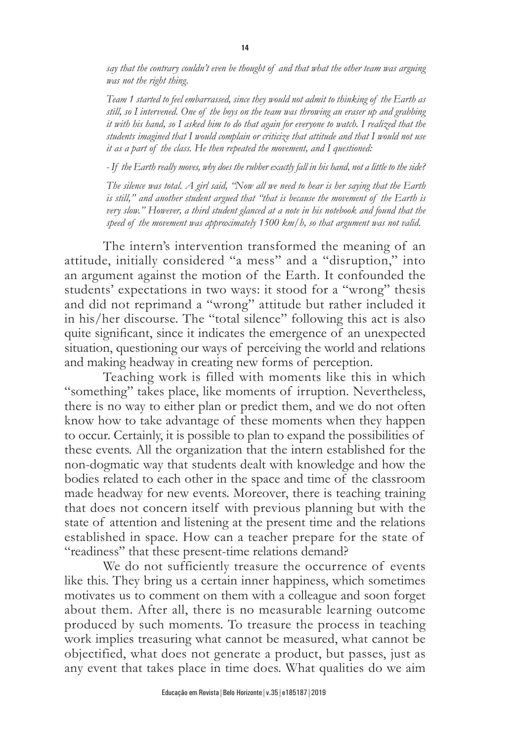*say that the contrary couldn't even be thought of and that what the other team was arguing was not the right thing.*

*Team 1 started to feel embarrassed, since they would not admit to thinking of the Earth as still, so I intervened. One of the boys on the team was throwing an eraser up and grabbing it with his hand, so I asked him to do that again for everyone to watch. I realized that the students imagined that I would complain or criticize that attitude and that I would not use it as a part of the class. He then repeated the movement, and I questioned:*

*- If the Earth really moves, why does the rubber exactly fall in his hand, not a little to the side?*

*The silence was total. A girl said, "Now all we need to hear is her saying that the Earth is still," and another student argued that "that is because the movement of the Earth is very slow." However, a third student glanced at a note in his notebook and found that the speed of the movement was approximately 1500 km/h, so that argument was not valid.*

The intern's intervention transformed the meaning of an attitude, initially considered "a mess" and a "disruption," into an argument against the motion of the Earth. It confounded the students' expectations in two ways: it stood for a "wrong" thesis and did not reprimand a "wrong" attitude but rather included it in his/her discourse. The "total silence" following this act is also quite significant, since it indicates the emergence of an unexpected situation, questioning our ways of perceiving the world and relations and making headway in creating new forms of perception.

Teaching work is filled with moments like this in which "something" takes place, like moments of irruption. Nevertheless, there is no way to either plan or predict them, and we do not often know how to take advantage of these moments when they happen to occur. Certainly, it is possible to plan to expand the possibilities of these events. All the organization that the intern established for the non-dogmatic way that students dealt with knowledge and how the bodies related to each other in the space and time of the classroom made headway for new events. Moreover, there is teaching training that does not concern itself with previous planning but with the state of attention and listening at the present time and the relations established in space. How can a teacher prepare for the state of "readiness" that these present-time relations demand?

We do not sufficiently treasure the occurrence of events like this. They bring us a certain inner happiness, which sometimes motivates us to comment on them with a colleague and soon forget about them. After all, there is no measurable learning outcome produced by such moments. To treasure the process in teaching work implies treasuring what cannot be measured, what cannot be objectified, what does not generate a product, but passes, just as any event that takes place in time does. What qualities do we aim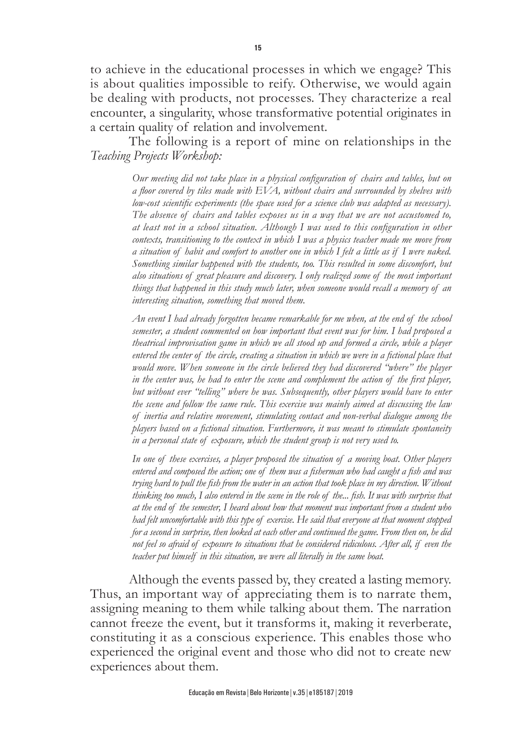to achieve in the educational processes in which we engage? This is about qualities impossible to reify. Otherwise, we would again be dealing with products, not processes. They characterize a real encounter, a singularity, whose transformative potential originates in a certain quality of relation and involvement.

The following is a report of mine on relationships in the *Teaching Projects Workshop:*

> *Our meeting did not take place in a physical configuration of chairs and tables, but on a floor covered by tiles made with EVA, without chairs and surrounded by shelves with low-cost scientific experiments (the space used for a science club was adapted as necessary). The absence of chairs and tables exposes us in a way that we are not accustomed to, at least not in a school situation. Although I was used to this configuration in other contexts, transitioning to the context in which I was a physics teacher made me move from a situation of habit and comfort to another one in which I felt a little as if I were naked. Something similar happened with the students, too. This resulted in some discomfort, but also situations of great pleasure and discovery. I only realized some of the most important things that happened in this study much later, when someone would recall a memory of an interesting situation, something that moved them.*

> *An event I had already forgotten became remarkable for me when, at the end of the school semester, a student commented on how important that event was for him. I had proposed a theatrical improvisation game in which we all stood up and formed a circle, while a player entered the center of the circle, creating a situation in which we were in a fictional place that would move. When someone in the circle believed they had discovered "where" the player*  in the center was, he had to enter the scene and complement the action of the first player, *but without ever "telling" where he was. Subsequently, other players would have to enter the scene and follow the same rule. This exercise was mainly aimed at discussing the law of inertia and relative movement, stimulating contact and non-verbal dialogue among the players based on a fictional situation. Furthermore, it was meant to stimulate spontaneity in a personal state of exposure, which the student group is not very used to.*

> *In one of these exercises, a player proposed the situation of a moving boat. Other players entered and composed the action; one of them was a fisherman who had caught a fish and was trying hard to pull the fish from the water in an action that took place in my direction. Without thinking too much, I also entered in the scene in the role of the... fish. It was with surprise that at the end of the semester, I heard about how that moment was important from a student who had felt uncomfortable with this type of exercise. He said that everyone at that moment stopped for a second in surprise, then looked at each other and continued the game. From then on, he did not feel so afraid of exposure to situations that he considered ridiculous. After all, if even the teacher put himself in this situation, we were all literally in the same boat.*

Although the events passed by, they created a lasting memory. Thus, an important way of appreciating them is to narrate them, assigning meaning to them while talking about them. The narration cannot freeze the event, but it transforms it, making it reverberate, constituting it as a conscious experience. This enables those who experienced the original event and those who did not to create new experiences about them.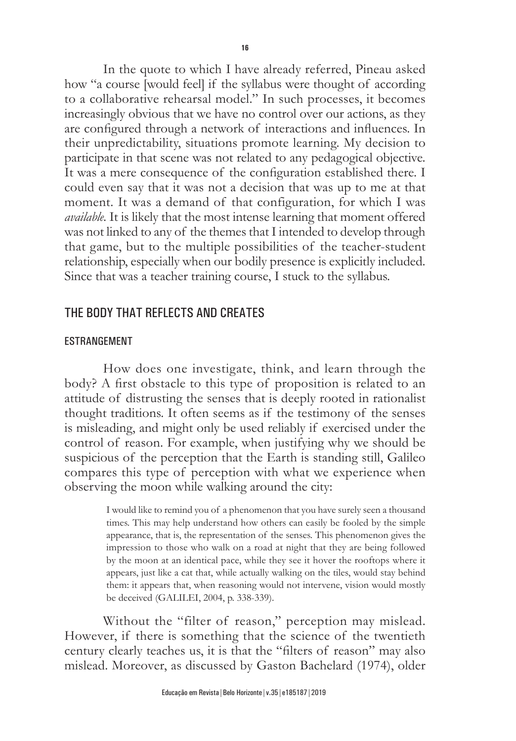In the quote to which I have already referred, Pineau asked how "a course [would feel] if the syllabus were thought of according to a collaborative rehearsal model." In such processes, it becomes increasingly obvious that we have no control over our actions, as they are configured through a network of interactions and influences. In their unpredictability, situations promote learning. My decision to participate in that scene was not related to any pedagogical objective. It was a mere consequence of the configuration established there. I

could even say that it was not a decision that was up to me at that moment. It was a demand of that configuration, for which I was *available.* It is likely that the most intense learning that moment offered was not linked to any of the themes that I intended to develop through that game, but to the multiple possibilities of the teacher-student relationship, especially when our bodily presence is explicitly included. Since that was a teacher training course, I stuck to the syllabus.

# THE BODY THAT REFLECTS AND CREATES

### ESTRANGEMENT

How does one investigate, think, and learn through the body? A first obstacle to this type of proposition is related to an attitude of distrusting the senses that is deeply rooted in rationalist thought traditions. It often seems as if the testimony of the senses is misleading, and might only be used reliably if exercised under the control of reason. For example, when justifying why we should be suspicious of the perception that the Earth is standing still, Galileo compares this type of perception with what we experience when observing the moon while walking around the city:

> I would like to remind you of a phenomenon that you have surely seen a thousand times. This may help understand how others can easily be fooled by the simple appearance, that is, the representation of the senses. This phenomenon gives the impression to those who walk on a road at night that they are being followed by the moon at an identical pace, while they see it hover the rooftops where it appears, just like a cat that, while actually walking on the tiles, would stay behind them: it appears that, when reasoning would not intervene, vision would mostly be deceived (GALILEI, 2004, p. 338-339).

Without the "filter of reason," perception may mislead. However, if there is something that the science of the twentieth century clearly teaches us, it is that the "filters of reason" may also mislead. Moreover, as discussed by Gaston Bachelard (1974), older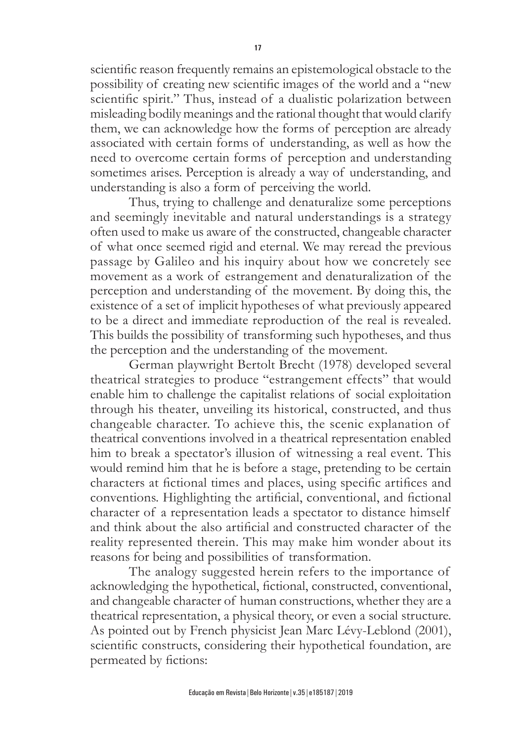scientific reason frequently remains an epistemological obstacle to the possibility of creating new scientific images of the world and a "new scientific spirit." Thus, instead of a dualistic polarization between misleading bodily meanings and the rational thought that would clarify them, we can acknowledge how the forms of perception are already associated with certain forms of understanding, as well as how the need to overcome certain forms of perception and understanding sometimes arises. Perception is already a way of understanding, and understanding is also a form of perceiving the world.

Thus, trying to challenge and denaturalize some perceptions and seemingly inevitable and natural understandings is a strategy often used to make us aware of the constructed, changeable character of what once seemed rigid and eternal. We may reread the previous passage by Galileo and his inquiry about how we concretely see movement as a work of estrangement and denaturalization of the perception and understanding of the movement. By doing this, the existence of a set of implicit hypotheses of what previously appeared to be a direct and immediate reproduction of the real is revealed. This builds the possibility of transforming such hypotheses, and thus the perception and the understanding of the movement.

German playwright Bertolt Brecht (1978) developed several theatrical strategies to produce "estrangement effects" that would enable him to challenge the capitalist relations of social exploitation through his theater, unveiling its historical, constructed, and thus changeable character. To achieve this, the scenic explanation of theatrical conventions involved in a theatrical representation enabled him to break a spectator's illusion of witnessing a real event. This would remind him that he is before a stage, pretending to be certain characters at fictional times and places, using specific artifices and conventions. Highlighting the artificial, conventional, and fictional character of a representation leads a spectator to distance himself and think about the also artificial and constructed character of the reality represented therein. This may make him wonder about its reasons for being and possibilities of transformation.

The analogy suggested herein refers to the importance of acknowledging the hypothetical, fictional, constructed, conventional, and changeable character of human constructions, whether they are a theatrical representation, a physical theory, or even a social structure. As pointed out by French physicist Jean Marc Lévy-Leblond (2001), scientific constructs, considering their hypothetical foundation, are permeated by fictions: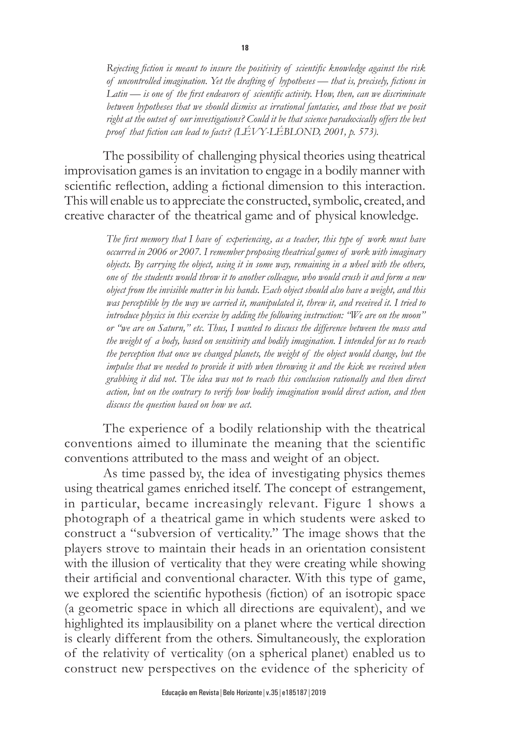*Rejecting fiction is meant to insure the positivity of scientific knowledge against the risk of uncontrolled imagination. Yet the drafting of hypotheses — that is, precisely, fictions in Latin — is one of the first endeavors of scientific activity. How, then, can we discriminate between hypotheses that we should dismiss as irrational fantasies, and those that we posit right at the outset of our investigations? Could it be that science paradoxically offers the best proof that fiction can lead to facts? (LÉVY-LÉBLOND, 2001, p. 573).* 

The possibility of challenging physical theories using theatrical improvisation games is an invitation to engage in a bodily manner with scientific reflection, adding a fictional dimension to this interaction. This will enable us to appreciate the constructed, symbolic, created, and creative character of the theatrical game and of physical knowledge.

> *The first memory that I have of experiencing, as a teacher, this type of work must have occurred in 2006 or 2007. I remember proposing theatrical games of work with imaginary objects. By carrying the object, using it in some way, remaining in a wheel with the others, one of the students would throw it to another colleague, who would crush it and form a new object from the invisible matter in his hands. Each object should also have a weight, and this was perceptible by the way we carried it, manipulated it, threw it, and received it. I tried to introduce physics in this exercise by adding the following instruction: "We are on the moon" or "we are on Saturn," etc. Thus, I wanted to discuss the difference between the mass and the weight of a body, based on sensitivity and bodily imagination. I intended for us to reach the perception that once we changed planets, the weight of the object would change, but the impulse that we needed to provide it with when throwing it and the kick we received when grabbing it did not. The idea was not to reach this conclusion rationally and then direct action, but on the contrary to verify how bodily imagination would direct action, and then discuss the question based on how we act.*

The experience of a bodily relationship with the theatrical conventions aimed to illuminate the meaning that the scientific conventions attributed to the mass and weight of an object.

As time passed by, the idea of investigating physics themes using theatrical games enriched itself. The concept of estrangement, in particular, became increasingly relevant. Figure 1 shows a photograph of a theatrical game in which students were asked to construct a "subversion of verticality." The image shows that the players strove to maintain their heads in an orientation consistent with the illusion of verticality that they were creating while showing their artificial and conventional character. With this type of game, we explored the scientific hypothesis (fiction) of an isotropic space (a geometric space in which all directions are equivalent), and we highlighted its implausibility on a planet where the vertical direction is clearly different from the others. Simultaneously, the exploration of the relativity of verticality (on a spherical planet) enabled us to construct new perspectives on the evidence of the sphericity of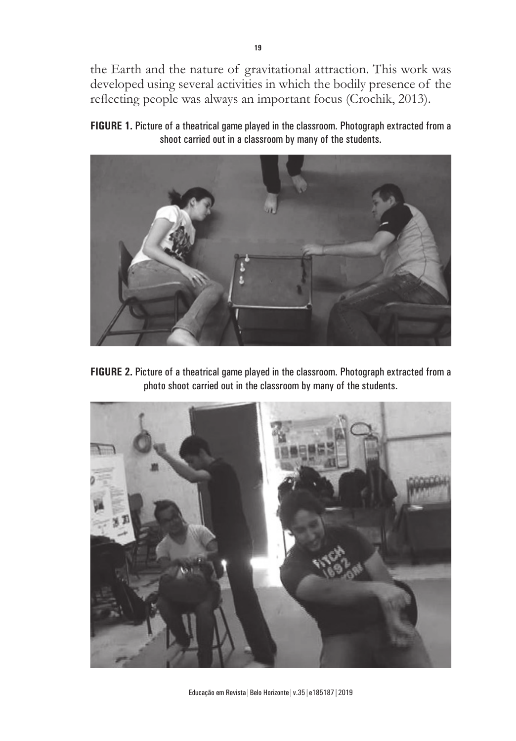the Earth and the nature of gravitational attraction. This work was developed using several activities in which the bodily presence of the reflecting people was always an important focus (Crochik, 2013).

**FIGURE 1.** Picture of a theatrical game played in the classroom. Photograph extracted from a shoot carried out in a classroom by many of the students.



**FIGURE 2.** Picture of a theatrical game played in the classroom. Photograph extracted from a photo shoot carried out in the classroom by many of the students.



Educação em Revista|Belo Horizonte|v.35|e185187|2019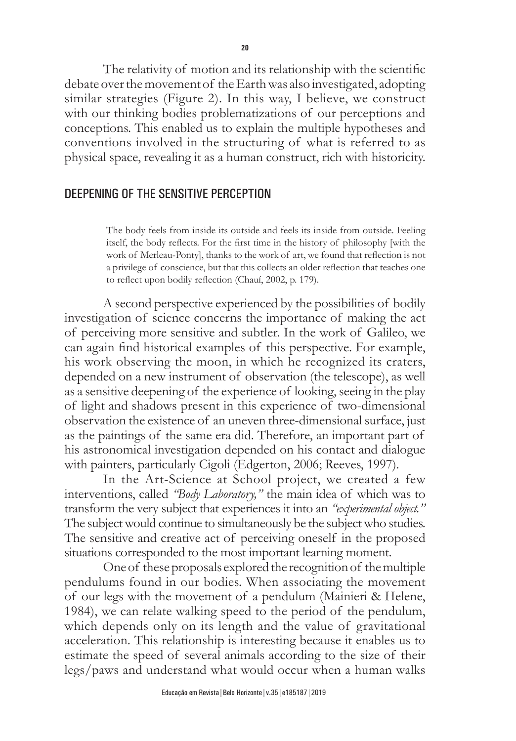The relativity of motion and its relationship with the scientific debate over the movement of the Earth was also investigated, adopting similar strategies (Figure 2). In this way, I believe, we construct with our thinking bodies problematizations of our perceptions and conceptions. This enabled us to explain the multiple hypotheses and conventions involved in the structuring of what is referred to as physical space, revealing it as a human construct, rich with historicity.

# DEEPENING OF THE SENSITIVE PERCEPTION

The body feels from inside its outside and feels its inside from outside. Feeling itself, the body reflects. For the first time in the history of philosophy [with the work of Merleau-Ponty], thanks to the work of art, we found that reflection is not a privilege of conscience, but that this collects an older reflection that teaches one to reflect upon bodily reflection (Chauí, 2002, p. 179).

A second perspective experienced by the possibilities of bodily investigation of science concerns the importance of making the act of perceiving more sensitive and subtler. In the work of Galileo, we can again find historical examples of this perspective. For example, his work observing the moon, in which he recognized its craters, depended on a new instrument of observation (the telescope), as well as a sensitive deepening of the experience of looking, seeing in the play of light and shadows present in this experience of two-dimensional observation the existence of an uneven three-dimensional surface, just as the paintings of the same era did. Therefore, an important part of his astronomical investigation depended on his contact and dialogue with painters, particularly Cigoli (Edgerton, 2006; Reeves, 1997).

In the Art-Science at School project, we created a few interventions, called *"Body Laboratory,"* the main idea of which was to transform the very subject that experiences it into an *"experimental object."*  The subject would continue to simultaneously be the subject who studies. The sensitive and creative act of perceiving oneself in the proposed situations corresponded to the most important learning moment.

One of these proposals explored the recognition of the multiple pendulums found in our bodies. When associating the movement of our legs with the movement of a pendulum (Mainieri & Helene, 1984), we can relate walking speed to the period of the pendulum, which depends only on its length and the value of gravitational acceleration. This relationship is interesting because it enables us to estimate the speed of several animals according to the size of their legs/paws and understand what would occur when a human walks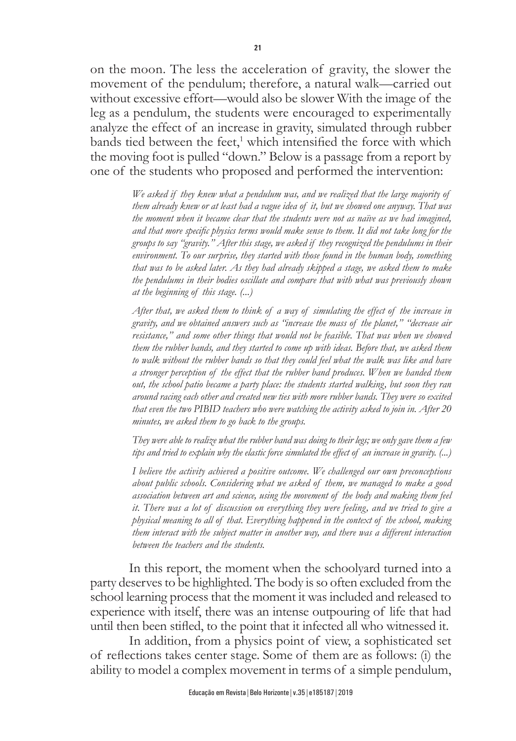on the moon. The less the acceleration of gravity, the slower the movement of the pendulum; therefore, a natural walk—carried out without excessive effort—would also be slower With the image of the leg as a pendulum, the students were encouraged to experimentally analyze the effect of an increase in gravity, simulated through rubber bands tied between the feet,<sup>1</sup> which intensified the force with which the moving foot is pulled "down." Below is a passage from a report by one of the students who proposed and performed the intervention:

> *We asked if they knew what a pendulum was, and we realized that the large majority of them already knew or at least had a vague idea of it, but we showed one anyway. That was the moment when it became clear that the students were not as naïve as we had imagined, and that more specific physics terms would make sense to them. It did not take long for the groups to say "gravity." After this stage, we asked if they recognized the pendulums in their environment. To our surprise, they started with those found in the human body, something that was to be asked later. As they had already skipped a stage, we asked them to make the pendulums in their bodies oscillate and compare that with what was previously shown at the beginning of this stage. (...)*

> *After that, we asked them to think of a way of simulating the effect of the increase in gravity, and we obtained answers such as "increase the mass of the planet," "decrease air resistance," and some other things that would not be feasible. That was when we showed them the rubber bands, and they started to come up with ideas. Before that, we asked them to walk without the rubber bands so that they could feel what the walk was like and have a stronger perception of the effect that the rubber band produces. When we handed them out, the school patio became a party place: the students started walking, but soon they ran around racing each other and created new ties with more rubber bands. They were so excited that even the two PIBID teachers who were watching the activity asked to join in. After 20 minutes, we asked them to go back to the groups.*

> *They were able to realize what the rubber band was doing to their legs; we only gave them a few tips and tried to explain why the elastic force simulated the effect of an increase in gravity. (...)*

> *I believe the activity achieved a positive outcome. We challenged our own preconceptions about public schools. Considering what we asked of them, we managed to make a good association between art and science, using the movement of the body and making them feel it. There was a lot of discussion on everything they were feeling, and we tried to give a physical meaning to all of that. Everything happened in the context of the school, making them interact with the subject matter in another way, and there was a different interaction between the teachers and the students.*

In this report, the moment when the schoolyard turned into a party deserves to be highlighted. The body is so often excluded from the school learning process that the moment it was included and released to experience with itself, there was an intense outpouring of life that had until then been stifled, to the point that it infected all who witnessed it.

In addition, from a physics point of view, a sophisticated set of reflections takes center stage. Some of them are as follows: (i) the ability to model a complex movement in terms of a simple pendulum,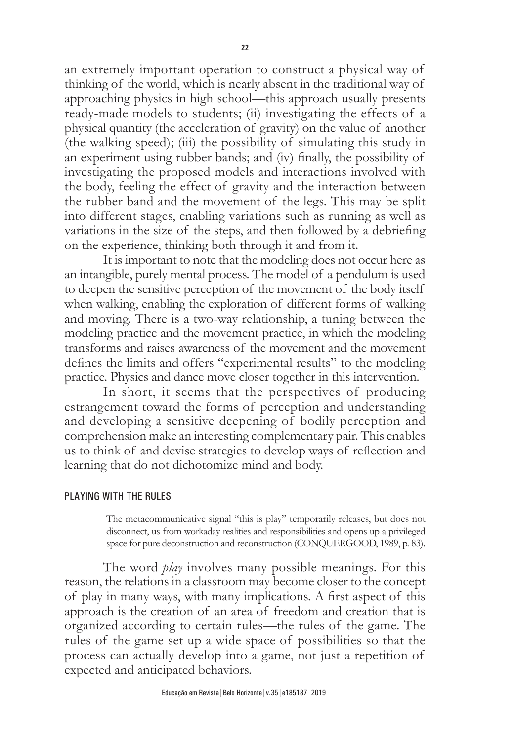an extremely important operation to construct a physical way of thinking of the world, which is nearly absent in the traditional way of approaching physics in high school—this approach usually presents ready-made models to students; (ii) investigating the effects of a physical quantity (the acceleration of gravity) on the value of another (the walking speed); (iii) the possibility of simulating this study in an experiment using rubber bands; and (iv) finally, the possibility of investigating the proposed models and interactions involved with the body, feeling the effect of gravity and the interaction between the rubber band and the movement of the legs. This may be split into different stages, enabling variations such as running as well as variations in the size of the steps, and then followed by a debriefing on the experience, thinking both through it and from it.

It is important to note that the modeling does not occur here as an intangible, purely mental process. The model of a pendulum is used to deepen the sensitive perception of the movement of the body itself when walking, enabling the exploration of different forms of walking and moving. There is a two-way relationship, a tuning between the modeling practice and the movement practice, in which the modeling transforms and raises awareness of the movement and the movement defines the limits and offers "experimental results" to the modeling practice. Physics and dance move closer together in this intervention.

In short, it seems that the perspectives of producing estrangement toward the forms of perception and understanding and developing a sensitive deepening of bodily perception and comprehension make an interesting complementary pair. This enables us to think of and devise strategies to develop ways of reflection and learning that do not dichotomize mind and body.

#### PLAYING WITH THE RULES

The metacommunicative signal "this is play" temporarily releases, but does not disconnect, us from workaday realities and responsibilities and opens up a privileged space for pure deconstruction and reconstruction (CONQUERGOOD, 1989, p. 83).

The word *play* involves many possible meanings. For this reason, the relations in a classroom may become closer to the concept of play in many ways, with many implications. A first aspect of this approach is the creation of an area of freedom and creation that is organized according to certain rules—the rules of the game. The rules of the game set up a wide space of possibilities so that the process can actually develop into a game, not just a repetition of expected and anticipated behaviors.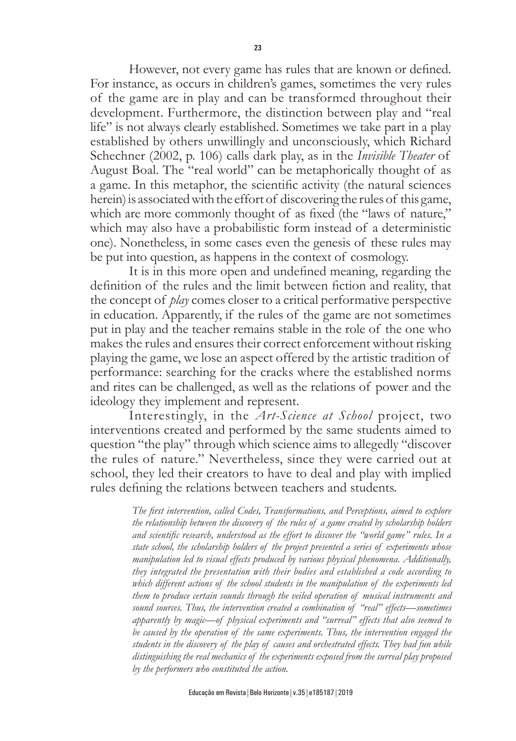However, not every game has rules that are known or defined. For instance, as occurs in children's games, sometimes the very rules of the game are in play and can be transformed throughout their development. Furthermore, the distinction between play and "real life" is not always clearly established. Sometimes we take part in a play established by others unwillingly and unconsciously, which Richard Schechner (2002, p. 106) calls dark play, as in the *Invisible Theater* of August Boal. The "real world" can be metaphorically thought of as a game. In this metaphor, the scientific activity (the natural sciences herein) is associated with the effort of discovering the rules of this game, which are more commonly thought of as fixed (the "laws of nature," which may also have a probabilistic form instead of a deterministic one). Nonetheless, in some cases even the genesis of these rules may be put into question, as happens in the context of cosmology.

It is in this more open and undefined meaning, regarding the definition of the rules and the limit between fiction and reality, that the concept of *play* comes closer to a critical performative perspective in education. Apparently, if the rules of the game are not sometimes put in play and the teacher remains stable in the role of the one who makes the rules and ensures their correct enforcement without risking playing the game, we lose an aspect offered by the artistic tradition of performance: searching for the cracks where the established norms and rites can be challenged, as well as the relations of power and the ideology they implement and represent.

Interestingly, in the *Art-Science at School* project, two interventions created and performed by the same students aimed to question "the play" through which science aims to allegedly "discover the rules of nature." Nevertheless, since they were carried out at school, they led their creators to have to deal and play with implied rules defining the relations between teachers and students.

> *The first intervention, called Codes, Transformations, and Perceptions, aimed to explore the relationship between the discovery of the rules of a game created by scholarship holders and scientific research, understood as the effort to discover the "world game" rules. In a state school, the scholarship holders of the project presented a series of experiments whose manipulation led to visual effects produced by various physical phenomena. Additionally, they integrated the presentation with their bodies and established a code according to which different actions of the school students in the manipulation of the experiments led them to produce certain sounds through the veiled operation of musical instruments and sound sources. Thus, the intervention created a combination of "real" effects—sometimes apparently by magic—of physical experiments and "surreal" effects that also seemed to be caused by the operation of the same experiments. Thus, the intervention engaged the students in the discovery of the play of causes and orchestrated effects. They had fun while distinguishing the real mechanics of the experiments exposed from the surreal play proposed by the performers who constituted the action.*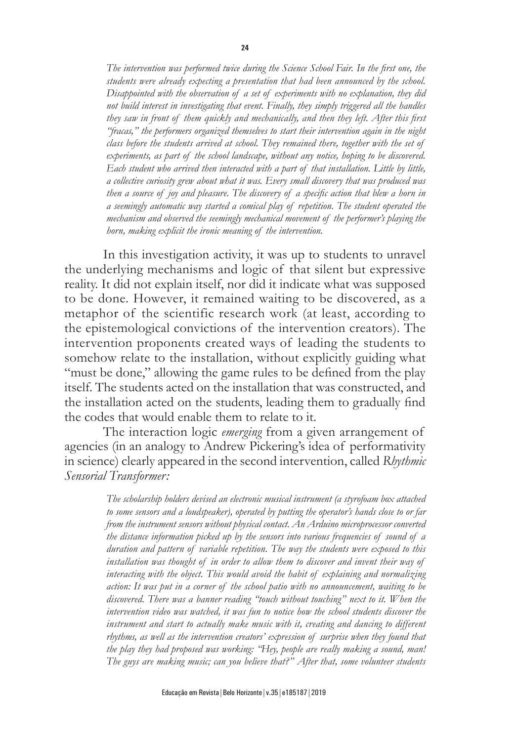*The intervention was performed twice during the Science School Fair. In the first one, the students were already expecting a presentation that had been announced by the school. Disappointed with the observation of a set of experiments with no explanation, they did not build interest in investigating that event. Finally, they simply triggered all the handles they saw in front of them quickly and mechanically, and then they left. After this first "fracas," the performers organized themselves to start their intervention again in the night class before the students arrived at school. They remained there, together with the set of experiments, as part of the school landscape, without any notice, hoping to be discovered. Each student who arrived then interacted with a part of that installation. Little by little, a collective curiosity grew about what it was. Every small discovery that was produced was then a source of joy and pleasure. The discovery of a specific action that blew a horn in a seemingly automatic way started a comical play of repetition. The student operated the mechanism and observed the seemingly mechanical movement of the performer's playing the horn, making explicit the ironic meaning of the intervention.*

In this investigation activity, it was up to students to unravel the underlying mechanisms and logic of that silent but expressive reality. It did not explain itself, nor did it indicate what was supposed to be done. However, it remained waiting to be discovered, as a metaphor of the scientific research work (at least, according to the epistemological convictions of the intervention creators). The intervention proponents created ways of leading the students to somehow relate to the installation, without explicitly guiding what "must be done," allowing the game rules to be defined from the play itself. The students acted on the installation that was constructed, and the installation acted on the students, leading them to gradually find the codes that would enable them to relate to it.

The interaction logic *emerging* from a given arrangement of agencies (in an analogy to Andrew Pickering's idea of performativity in science) clearly appeared in the second intervention, called *Rhythmic Sensorial Transformer:*

> *The scholarship holders devised an electronic musical instrument (a styrofoam box attached to some sensors and a loudspeaker), operated by putting the operator's hands close to or far from the instrument sensors without physical contact. An Arduino microprocessor converted the distance information picked up by the sensors into various frequencies of sound of a duration and pattern of variable repetition. The way the students were exposed to this installation was thought of in order to allow them to discover and invent their way of interacting with the object. This would avoid the habit of explaining and normalizing action: It was put in a corner of the school patio with no announcement, waiting to be discovered. There was a banner reading "touch without touching" next to it. When the intervention video was watched, it was fun to notice how the school students discover the instrument and start to actually make music with it, creating and dancing to different rhythms, as well as the intervention creators' expression of surprise when they found that the play they had proposed was working: "Hey, people are really making a sound, man! The guys are making music; can you believe that?" After that, some volunteer students*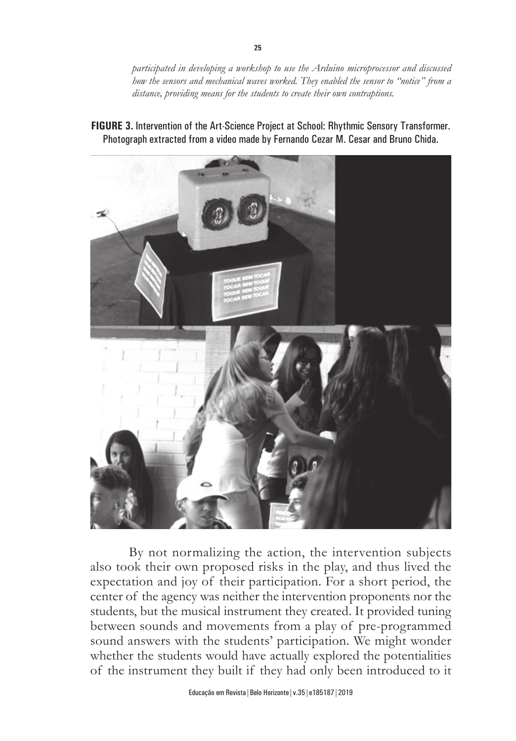*participated in developing a workshop to use the Arduino microprocessor and discussed how the sensors and mechanical waves worked. They enabled the sensor to "notice" from a distance, providing means for the students to create their own contraptions.*



**FIGURE 3.** Intervention of the Art-Science Project at School: Rhythmic Sensory Transformer. Photograph extracted from a video made by Fernando Cezar M. Cesar and Bruno Chida.

By not normalizing the action, the intervention subjects also took their own proposed risks in the play, and thus lived the expectation and joy of their participation. For a short period, the center of the agency was neither the intervention proponents nor the students, but the musical instrument they created. It provided tuning between sounds and movements from a play of pre-programmed sound answers with the students' participation. We might wonder whether the students would have actually explored the potentialities of the instrument they built if they had only been introduced to it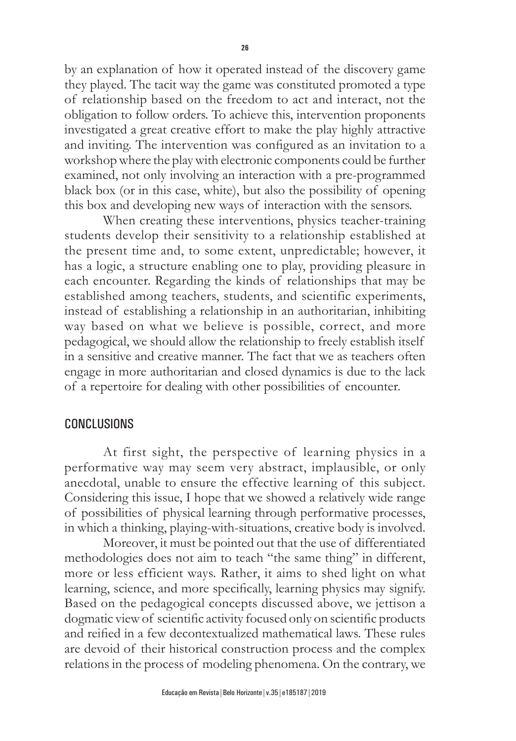by an explanation of how it operated instead of the discovery game they played. The tacit way the game was constituted promoted a type of relationship based on the freedom to act and interact, not the obligation to follow orders. To achieve this, intervention proponents investigated a great creative effort to make the play highly attractive and inviting. The intervention was configured as an invitation to a workshop where the play with electronic components could be further examined, not only involving an interaction with a pre-programmed black box (or in this case, white), but also the possibility of opening this box and developing new ways of interaction with the sensors.

When creating these interventions, physics teacher-training students develop their sensitivity to a relationship established at the present time and, to some extent, unpredictable; however, it has a logic, a structure enabling one to play, providing pleasure in each encounter. Regarding the kinds of relationships that may be established among teachers, students, and scientific experiments, instead of establishing a relationship in an authoritarian, inhibiting way based on what we believe is possible, correct, and more pedagogical, we should allow the relationship to freely establish itself in a sensitive and creative manner. The fact that we as teachers often engage in more authoritarian and closed dynamics is due to the lack of a repertoire for dealing with other possibilities of encounter.

### CONCLUSIONS

At first sight, the perspective of learning physics in a performative way may seem very abstract, implausible, or only anecdotal, unable to ensure the effective learning of this subject. Considering this issue, I hope that we showed a relatively wide range of possibilities of physical learning through performative processes, in which a thinking, playing-with-situations, creative body is involved.

Moreover, it must be pointed out that the use of differentiated methodologies does not aim to teach "the same thing" in different, more or less efficient ways. Rather, it aims to shed light on what learning, science, and more specifically, learning physics may signify. Based on the pedagogical concepts discussed above, we jettison a dogmatic view of scientific activity focused only on scientific products and reified in a few decontextualized mathematical laws. These rules are devoid of their historical construction process and the complex relations in the process of modeling phenomena. On the contrary, we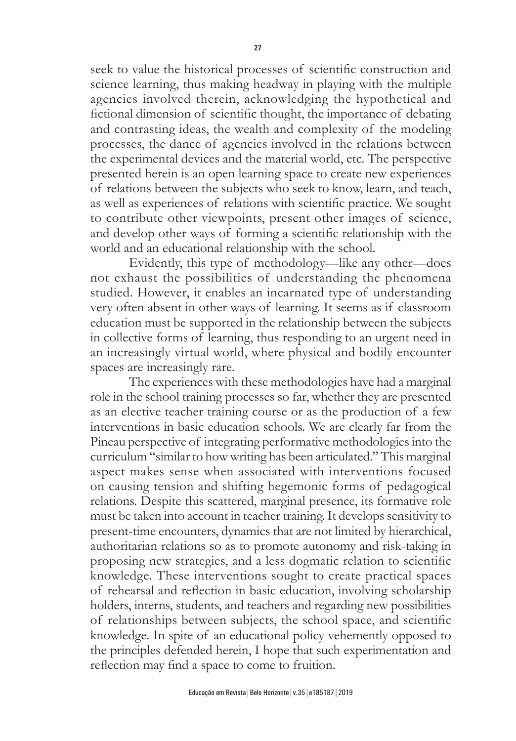seek to value the historical processes of scientific construction and science learning, thus making headway in playing with the multiple agencies involved therein, acknowledging the hypothetical and fictional dimension of scientific thought, the importance of debating and contrasting ideas, the wealth and complexity of the modeling processes, the dance of agencies involved in the relations between the experimental devices and the material world, etc. The perspective presented herein is an open learning space to create new experiences of relations between the subjects who seek to know, learn, and teach, as well as experiences of relations with scientific practice. We sought to contribute other viewpoints, present other images of science, and develop other ways of forming a scientific relationship with the world and an educational relationship with the school.

Evidently, this type of methodology—like any other—does not exhaust the possibilities of understanding the phenomena studied. However, it enables an incarnated type of understanding very often absent in other ways of learning. It seems as if classroom education must be supported in the relationship between the subjects in collective forms of learning, thus responding to an urgent need in an increasingly virtual world, where physical and bodily encounter spaces are increasingly rare.

The experiences with these methodologies have had a marginal role in the school training processes so far, whether they are presented as an elective teacher training course or as the production of a few interventions in basic education schools. We are clearly far from the Pineau perspective of integrating performative methodologies into the curriculum "similar to how writing has been articulated." This marginal aspect makes sense when associated with interventions focused on causing tension and shifting hegemonic forms of pedagogical relations. Despite this scattered, marginal presence, its formative role must be taken into account in teacher training. It develops sensitivity to present-time encounters, dynamics that are not limited by hierarchical, authoritarian relations so as to promote autonomy and risk-taking in proposing new strategies, and a less dogmatic relation to scientific knowledge. These interventions sought to create practical spaces of rehearsal and reflection in basic education, involving scholarship holders, interns, students, and teachers and regarding new possibilities of relationships between subjects, the school space, and scientific knowledge. In spite of an educational policy vehemently opposed to the principles defended herein, I hope that such experimentation and reflection may find a space to come to fruition.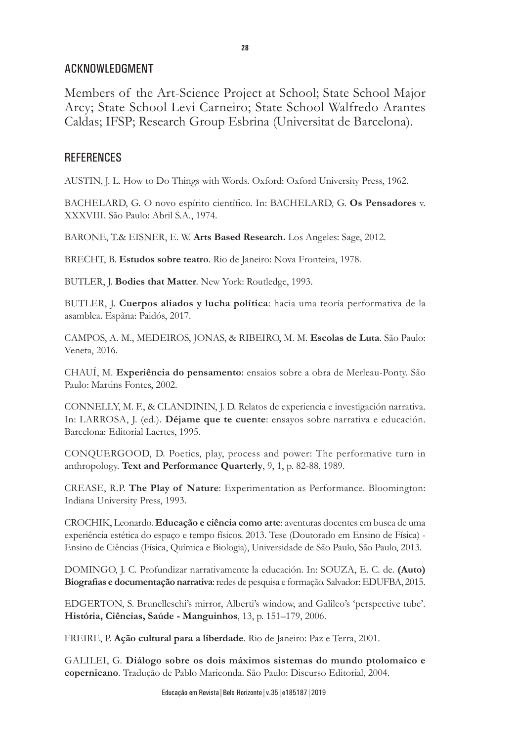## ACKNOWLEDGMENT

Members of the Art-Science Project at School; State School Major Arcy; State School Levi Carneiro; State School Walfredo Arantes Caldas; IFSP; Research Group Esbrina (Universitat de Barcelona).

## **REFERENCES**

AUSTIN, J. L. How to Do Things with Words. Oxford: Oxford University Press, 1962.

BACHELARD, G. O novo espírito científico. In: BACHELARD, G. **Os Pensadores** v. XXXVIII. São Paulo: Abril S.A., 1974.

BARONE, T.& EISNER, E. W. **Arts Based Research.** Los Angeles: Sage, 2012.

BRECHT, B. **Estudos sobre teatro**. Rio de Janeiro: Nova Fronteira, 1978.

BUTLER, J. **Bodies that Matter**. New York: Routledge, 1993.

BUTLER, J. **Cuerpos aliados y lucha política**: hacia uma teoría performativa de la asamblea. Espãna: Paidós, 2017.

CAMPOS, A. M., MEDEIROS, JONAS, & RIBEIRO, M. M. **Escolas de Luta**. São Paulo: Veneta, 2016.

CHAUÍ, M. **Experiência do pensamento**: ensaios sobre a obra de Merleau-Ponty. São Paulo: Martins Fontes, 2002.

CONNELLY, M. F., & CLANDININ, J. D. Relatos de experiencia e investigación narrativa. In: LARROSA, J. (ed.). **Déjame que te cuente**: ensayos sobre narrativa e educación. Barcelona: Editorial Laertes, 1995.

CONQUERGOOD, D. Poetics, play, process and power: The performative turn in anthropology. **Text and Performance Quarterly**, 9, 1, p. 82-88, 1989.

CREASE, R.P. **The Play of Nature**: Experimentation as Performance. Bloomington: Indiana University Press, 1993.

CROCHIK, Leonardo. **Educação e ciência como arte**: aventuras docentes em busca de uma experiência estética do espaço e tempo físicos. 2013. Tese (Doutorado em Ensino de Física) - Ensino de Ciências (Física, Química e Biologia), Universidade de São Paulo, São Paulo, 2013.

DOMINGO, J. C. Profundizar narrativamente la educación. In: SOUZA, E. C. de. **(Auto) Biografias e documentação narrativa**: redes de pesquisa e formação. Salvador: EDUFBA, 2015.

EDGERTON, S. Brunelleschi's mirror, Alberti's window, and Galileo's 'perspective tube'. **História, Ciências, Saúde - Manguinhos**, 13, p. 151–179, 2006.

FREIRE, P. **Ação cultural para a liberdade**. Rio de Janeiro: Paz e Terra, 2001.

GALILEI, G. **Diálogo sobre os dois máximos sistemas do mundo ptolomaico e copernicano**. Tradução de Pablo Mariconda. São Paulo: Discurso Editorial, 2004.